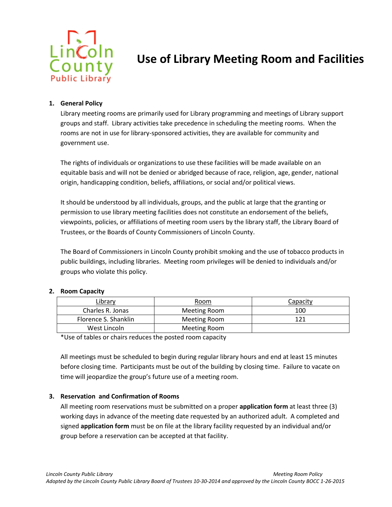

# **[Use of Library Meeting Room and Facilit](http://www.lincolncounty.org/DocumentCenter/Home/View/3630#page=1)ies**

## **1. General Policy**

Library meeting rooms are primarily used for Library programming and meetings of Library support groups and staff. Library activities take precedence in scheduling the meeting rooms. When the rooms are not in use for library-sponsored activities, they are available for community and government use.

The rights of individuals or organizations to use these facilities will be made available on an equitable basis and will not be denied or abridged because of race, religion, age, gender, national origin, handicapping condition, beliefs, affiliations, or social and/or political views.

It should be understood by all individuals, groups, and the public at large that the granting or permission to use library meeting facilities does not constitute an endorsement of the beliefs, viewpoints, policies, or affiliations of meeting room users by the library staff, the Library Board of Trustees, or the Boards of County Commissioners of Lincoln County.

The Board of Commissioners in Lincoln County prohibit smoking and the use of tobacco products in public buildings, including libraries. Meeting room privileges will be denied to individuals and/or groups who violate this policy.

### **2. Room Capacity**

| Library              | Room         | Capacity |
|----------------------|--------------|----------|
| Charles R. Jonas     | Meeting Room | 100      |
| Florence S. Shanklin | Meeting Room | 121      |
| West Lincoln         | Meeting Room |          |

\*Use of tables or chairs reduces the posted room capacity

All meetings must be scheduled to begin during regular library hours and end at least 15 minutes before closing time. Participants must be out of the building by closing time. Failure to vacate on time will jeopardize the group's future use of a meeting room.

### **3. Reservation and Confirmation of Rooms**

All meeting room reservations must be submitted on a proper **application form** at least three (3) working days in advance of the meeting date requested by an authorized adult. A completed and signed **application form** must be on file at the library facility requested by an individual and/or group before a reservation can be accepted at that facility.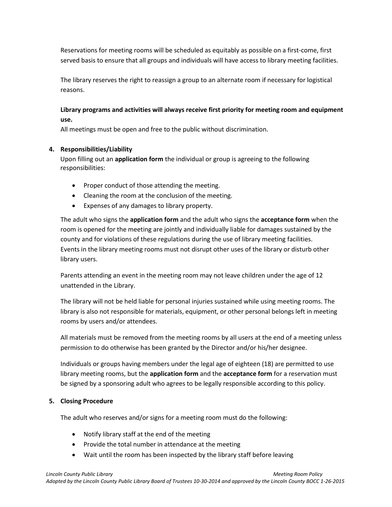Reservations for meeting rooms will be scheduled as equitably as possible on a first-come, first served basis to ensure that all groups and individuals will have access to library meeting facilities.

The library reserves the right to reassign a group to an alternate room if necessary for logistical reasons.

# **Library programs and activities will always receive first priority for meeting room and equipment use.**

All meetings must be open and free to the public without discrimination.

# **4. Responsibilities/Liability**

Upon filling out an **application form** the individual or group is agreeing to the following responsibilities:

- Proper conduct of those attending the meeting.
- Cleaning the room at the conclusion of the meeting.
- Expenses of any damages to library property.

The adult who signs the **application form** and the adult who signs the **acceptance form** when the room is opened for the meeting are jointly and individually liable for damages sustained by the county and for violations of these regulations during the use of library meeting facilities. Events in the library meeting rooms must not disrupt other uses of the library or disturb other library users.

Parents attending an event in the meeting room may not leave children under the age of 12 unattended in the Library.

The library will not be held liable for personal injuries sustained while using meeting rooms. The library is also not responsible for materials, equipment, or other personal belongs left in meeting rooms by users and/or attendees.

All materials must be removed from the meeting rooms by all users at the end of a meeting unless permission to do otherwise has been granted by the Director and/or his/her designee.

Individuals or groups having members under the legal age of eighteen (18) are permitted to use library meeting rooms, but the **application form** and the **acceptance form** for a reservation must be signed by a sponsoring adult who agrees to be legally responsible according to this policy.

# **5. Closing Procedure**

The adult who reserves and/or signs for a meeting room must do the following:

- Notify library staff at the end of the meeting
- Provide the total number in attendance at the meeting
- Wait until the room has been inspected by the library staff before leaving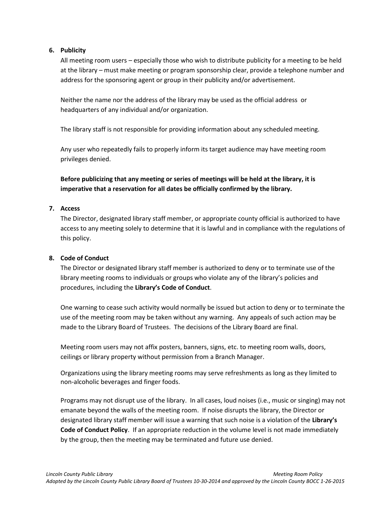## **6. Publicity**

All meeting room users – especially those who wish to distribute publicity for a meeting to be held at the library – must make meeting or program sponsorship clear, provide a telephone number and address for the sponsoring agent or group in their publicity and/or advertisement.

Neither the name nor the address of the library may be used as the official address or headquarters of any individual and/or organization.

The library staff is not responsible for providing information about any scheduled meeting.

Any user who repeatedly fails to properly inform its target audience may have meeting room privileges denied.

**Before publicizing that any meeting or series of meetings will be held at the library, it is imperative that a reservation for all dates be officially confirmed by the library.**

## **7. Access**

The Director, designated library staff member, or appropriate county official is authorized to have access to any meeting solely to determine that it is lawful and in compliance with the regulations of this policy.

# **8. Code of Conduct**

The Director or designated library staff member is authorized to deny or to terminate use of the library meeting rooms to individuals or groups who violate any of the library's policies and procedures, including the **Library's Code of Conduct**.

One warning to cease such activity would normally be issued but action to deny or to terminate the use of the meeting room may be taken without any warning. Any appeals of such action may be made to the Library Board of Trustees. The decisions of the Library Board are final.

Meeting room users may not affix posters, banners, signs, etc. to meeting room walls, doors, ceilings or library property without permission from a Branch Manager.

Organizations using the library meeting rooms may serve refreshments as long as they limited to non‐alcoholic beverages and finger foods.

Programs may not disrupt use of the library. In all cases, loud noises (i.e., music or singing) may not emanate beyond the walls of the meeting room. If noise disrupts the library, the Director or designated library staff member will issue a warning that such noise is a violation of the **Library's Code of Conduct Policy**. If an appropriate reduction in the volume level is not made immediately by the group, then the meeting may be terminated and future use denied.